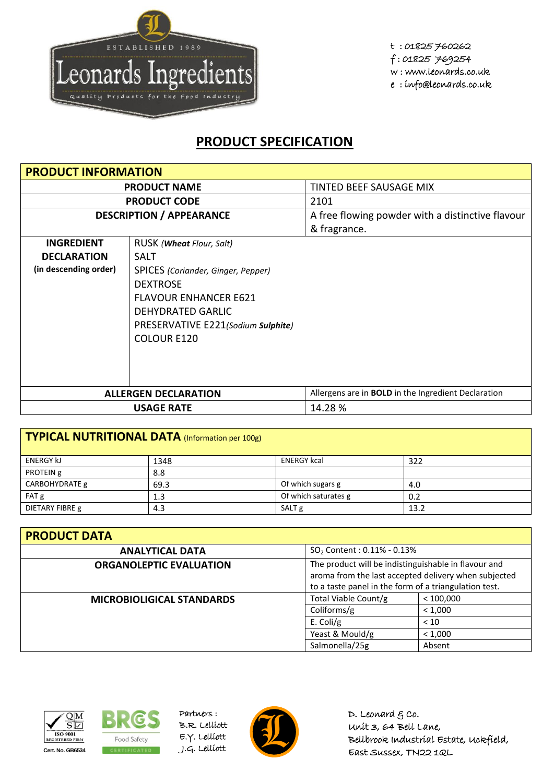

t : 01825 760262 f : 01825 769254 w : www.leonards.co.uk e : info@leonards.co.uk

## **PRODUCT SPECIFICATION**

| <b>PRODUCT INFORMATION</b>                                                                     |                                    |                                                            |  |
|------------------------------------------------------------------------------------------------|------------------------------------|------------------------------------------------------------|--|
| <b>PRODUCT NAME</b>                                                                            |                                    | TINTED BEEF SAUSAGE MIX                                    |  |
|                                                                                                | <b>PRODUCT CODE</b>                | 2101                                                       |  |
| <b>DESCRIPTION / APPEARANCE</b>                                                                |                                    | A free flowing powder with a distinctive flavour           |  |
|                                                                                                |                                    | & fragrance.                                               |  |
| <b>INGREDIENT</b>                                                                              | RUSK ( <b>Wheat</b> Flour, Salt)   |                                                            |  |
| <b>DECLARATION</b>                                                                             | SALT                               |                                                            |  |
| (in descending order)                                                                          | SPICES (Coriander, Ginger, Pepper) |                                                            |  |
|                                                                                                | <b>DEXTROSE</b>                    |                                                            |  |
| <b>FLAVOUR ENHANCER E621</b><br><b>DEHYDRATED GARLIC</b><br>PRESERVATIVE E221(Sodium Sulphite) |                                    |                                                            |  |
|                                                                                                |                                    |                                                            |  |
|                                                                                                |                                    |                                                            |  |
|                                                                                                | <b>COLOUR E120</b>                 |                                                            |  |
|                                                                                                |                                    |                                                            |  |
|                                                                                                |                                    |                                                            |  |
|                                                                                                |                                    |                                                            |  |
|                                                                                                | <b>ALLERGEN DECLARATION</b>        | Allergens are in <b>BOLD</b> in the Ingredient Declaration |  |
|                                                                                                | <b>USAGE RATE</b>                  | 14.28 %                                                    |  |

| TYPICAL NUTRITIONAL DATA (Information per 100g) |      |                      |      |  |
|-------------------------------------------------|------|----------------------|------|--|
| <b>ENERGY kJ</b>                                | 1348 | <b>ENERGY kcal</b>   | 322  |  |
| PROTEIN g                                       | 8.8  |                      |      |  |
| CARBOHYDRATE g                                  | 69.3 | Of which sugars g    | 4.0  |  |
| FAT g                                           | 1.3  | Of which saturates g | 0.2  |  |
| DIETARY FIBRE g                                 | 4.3  | SALT <sub>g</sub>    | 13.2 |  |

| <b>PRODUCT DATA</b>              |                                                                                                                                                                       |           |  |  |
|----------------------------------|-----------------------------------------------------------------------------------------------------------------------------------------------------------------------|-----------|--|--|
| <b>ANALYTICAL DATA</b>           | $SO2$ Content : 0.11% - 0.13%                                                                                                                                         |           |  |  |
| <b>ORGANOLEPTIC EVALUATION</b>   | The product will be indistinguishable in flavour and<br>aroma from the last accepted delivery when subjected<br>to a taste panel in the form of a triangulation test. |           |  |  |
| <b>MICROBIOLIGICAL STANDARDS</b> | Total Viable Count/g                                                                                                                                                  | < 100,000 |  |  |
|                                  | Coliforms/g                                                                                                                                                           | < 1.000   |  |  |
|                                  | E. Coli/g                                                                                                                                                             | < 10      |  |  |
|                                  | Yeast & Mould/g                                                                                                                                                       | < 1,000   |  |  |
|                                  | Salmonella/25g                                                                                                                                                        | Absent    |  |  |





Partners : B.R. Lelliott E.Y. Lelliott



D. Leonard  $g$  co. Unit 3, 64 Bell Lane, Bellbrook Industrial Estate, Uckfield, East Sussex, TN22 1QL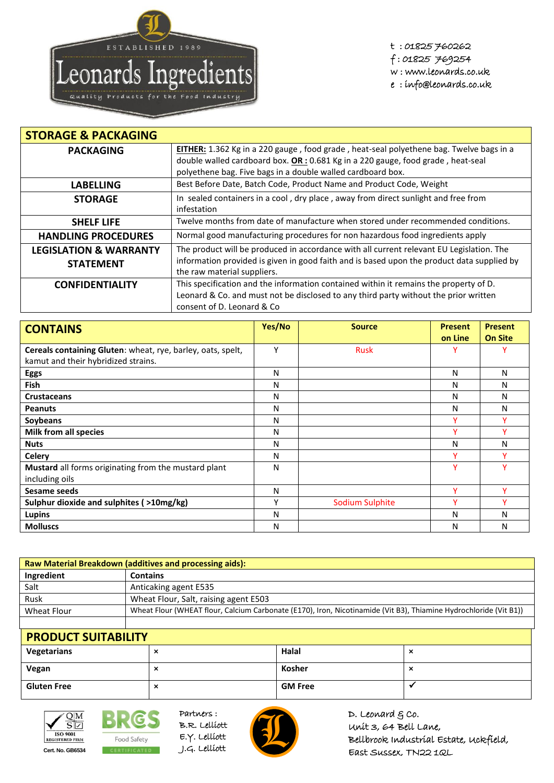

t : 01825 760262 f : 01825 769254 w : www.leonards.co.uk e : info@leonards.co.uk

| <b>STORAGE &amp; PACKAGING</b>    |                                                                                                                           |
|-----------------------------------|---------------------------------------------------------------------------------------------------------------------------|
| <b>PACKAGING</b>                  | EITHER: 1.362 Kg in a 220 gauge, food grade, heat-seal polyethene bag. Twelve bags in a                                   |
|                                   | double walled cardboard box. $OR: 0.681$ Kg in a 220 gauge, food grade, heat-seal                                         |
|                                   | polyethene bag. Five bags in a double walled cardboard box.                                                               |
| <b>LABELLING</b>                  | Best Before Date, Batch Code, Product Name and Product Code, Weight                                                       |
| <b>STORAGE</b>                    | In sealed containers in a cool, dry place, away from direct sunlight and free from<br>infestation                         |
|                                   |                                                                                                                           |
| <b>SHELF LIFE</b>                 | Twelve months from date of manufacture when stored under recommended conditions.                                          |
| <b>HANDLING PROCEDURES</b>        | Normal good manufacturing procedures for non hazardous food ingredients apply                                             |
| <b>LEGISLATION &amp; WARRANTY</b> | The product will be produced in accordance with all current relevant EU Legislation. The                                  |
| <b>STATEMENT</b>                  | information provided is given in good faith and is based upon the product data supplied by<br>the raw material suppliers. |
| <b>CONFIDENTIALITY</b>            | This specification and the information contained within it remains the property of D.                                     |
|                                   | Leonard & Co. and must not be disclosed to any third party without the prior written<br>consent of D. Leonard & Co.       |

| <b>CONTAINS</b>                                             | Yes/No | <b>Source</b>   | <b>Present</b> | <b>Present</b> |
|-------------------------------------------------------------|--------|-----------------|----------------|----------------|
|                                                             |        |                 | on Line        | <b>On Site</b> |
| Cereals containing Gluten: wheat, rye, barley, oats, spelt, | Υ      | <b>Rusk</b>     | Y              | v              |
| kamut and their hybridized strains.                         |        |                 |                |                |
| <b>Eggs</b>                                                 | N      |                 | N              | N              |
| <b>Fish</b>                                                 | N      |                 | N              | N              |
| <b>Crustaceans</b>                                          | N      |                 | N              | N              |
| <b>Peanuts</b>                                              | N      |                 | N              | N              |
| Soybeans                                                    | N      |                 | v              |                |
| Milk from all species                                       | N      |                 | $\checkmark$   |                |
| <b>Nuts</b>                                                 | N      |                 | N              | N              |
| <b>Celery</b>                                               | N      |                 | Y              | v              |
| Mustard all forms originating from the mustard plant        | N      |                 | Y              | v              |
| including oils                                              |        |                 |                |                |
| Sesame seeds                                                | N      |                 | ٧              | v              |
| Sulphur dioxide and sulphites (>10mg/kg)                    | ٧      | Sodium Sulphite | v              | v              |
| Lupins                                                      | N      |                 | N              | N              |
| <b>Molluscs</b>                                             | N      |                 | N              | N              |

| <b>Raw Material Breakdown (additives and processing aids):</b> |                                                                                                                   |  |  |
|----------------------------------------------------------------|-------------------------------------------------------------------------------------------------------------------|--|--|
| Ingredient                                                     | <b>Contains</b>                                                                                                   |  |  |
| Salt                                                           | Anticaking agent E535                                                                                             |  |  |
| Rusk                                                           | Wheat Flour, Salt, raising agent E503                                                                             |  |  |
| Wheat Flour                                                    | Wheat Flour (WHEAT flour, Calcium Carbonate (E170), Iron, Nicotinamide (Vit B3), Thiamine Hydrochloride (Vit B1)) |  |  |
|                                                                |                                                                                                                   |  |  |

| <b>PRODUCT SUITABILITY</b> |                            |                |                      |  |
|----------------------------|----------------------------|----------------|----------------------|--|
| Vegetarians                | $\tilde{\phantom{a}}$<br>ㅅ | Halal          | ᄉ                    |  |
| Vegan                      | ⌒                          | Kosher         | $\ddot{\phantom{0}}$ |  |
| <b>Gluten Free</b>         | ⌒                          | <b>GM Free</b> |                      |  |



BRG. Food Safety **Cert. No. GB6534** CERTIFICATED J.G. Lelliott

L Partners : B.R. Lelliott E.Y. Lelliott